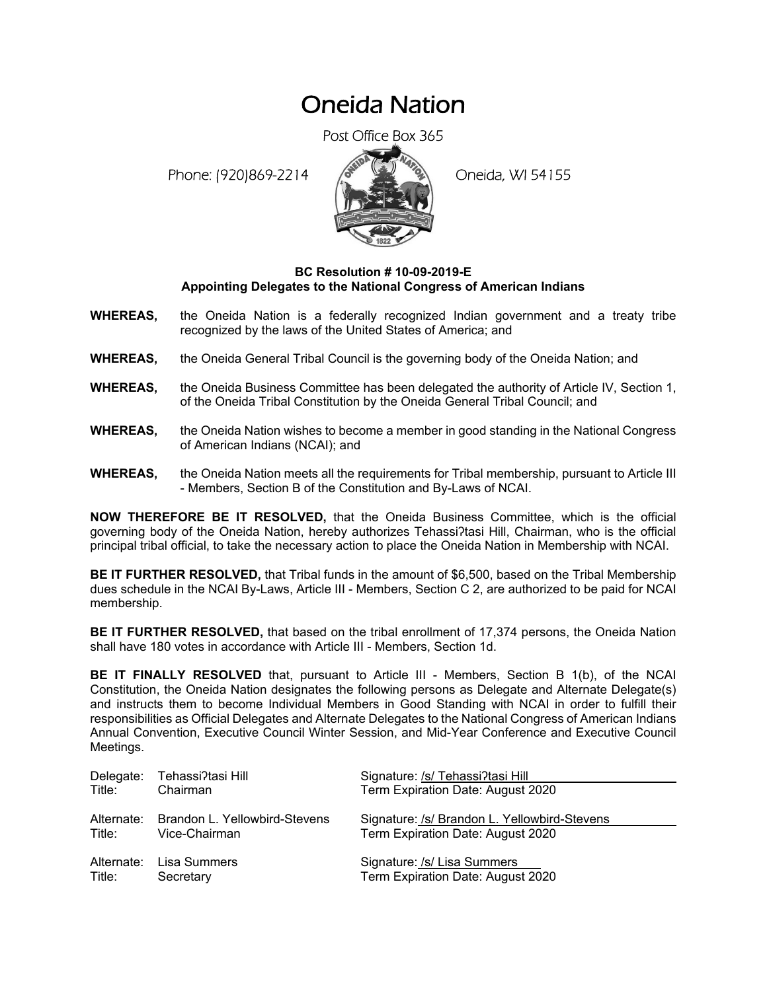## Oneida Nation

Post Office Box 365

Phone: (920)869-2214 (8 April 19) Oneida, WI 54155



## **BC Resolution # 10-09-2019-E Appointing Delegates to the National Congress of American Indians**

- **WHEREAS,** the Oneida Nation is a federally recognized Indian government and a treaty tribe recognized by the laws of the United States of America; and
- **WHEREAS,** the Oneida General Tribal Council is the governing body of the Oneida Nation; and
- **WHEREAS,** the Oneida Business Committee has been delegated the authority of Article IV, Section 1, of the Oneida Tribal Constitution by the Oneida General Tribal Council; and
- **WHEREAS,** the Oneida Nation wishes to become a member in good standing in the National Congress of American Indians (NCAI); and
- **WHEREAS,** the Oneida Nation meets all the requirements for Tribal membership, pursuant to Article III - Members, Section B of the Constitution and By-Laws of NCAI.

**NOW THEREFORE BE IT RESOLVED,** that the Oneida Business Committee, which is the official governing body of the Oneida Nation, hereby authorizes Tehassi?tasi Hill, Chairman, who is the official principal tribal official, to take the necessary action to place the Oneida Nation in Membership with NCAI.

**BE IT FURTHER RESOLVED,** that Tribal funds in the amount of \$6,500, based on the Tribal Membership dues schedule in the NCAI By-Laws, Article III - Members, Section C 2, are authorized to be paid for NCAI membership.

**BE IT FURTHER RESOLVED,** that based on the tribal enrollment of 17,374 persons, the Oneida Nation shall have 180 votes in accordance with Article III - Members, Section 1d.

**BE IT FINALLY RESOLVED** that, pursuant to Article III - Members, Section B 1(b), of the NCAI Constitution, the Oneida Nation designates the following persons as Delegate and Alternate Delegate(s) and instructs them to become Individual Members in Good Standing with NCAI in order to fulfill their responsibilities as Official Delegates and Alternate Delegates to the National Congress of American Indians Annual Convention, Executive Council Winter Session, and Mid-Year Conference and Executive Council Meetings.

| Delegate:  | Tehassi?tasi Hill             | Signature: /s/ Tehassi?tasi Hill             |
|------------|-------------------------------|----------------------------------------------|
| Title:     | Chairman                      | Term Expiration Date: August 2020            |
|            |                               |                                              |
| Alternate: | Brandon L. Yellowbird-Stevens | Signature: /s/ Brandon L. Yellowbird-Stevens |
| Title:     | Vice-Chairman                 | Term Expiration Date: August 2020            |
| Alternate: | Lisa Summers                  | Signature: /s/ Lisa Summers                  |
| Title:     | Secretary                     | Term Expiration Date: August 2020            |